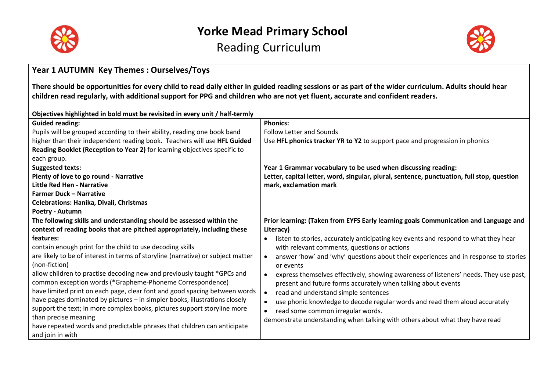



#### **Year 1 AUTUMN Key Themes : Ourselves/Toys**

**There should be opportunities for every child to read daily either in guided reading sessions or as part of the wider curriculum. Adults should hear children read regularly, with additional support for PPG and children who are not yet fluent, accurate and confident readers.**

#### **Objectives highlighted in bold must be revisited in every unit / half-termly**

| <b>Guided reading:</b>                                                           | <b>Phonics:</b>                                                                            |
|----------------------------------------------------------------------------------|--------------------------------------------------------------------------------------------|
| Pupils will be grouped according to their ability, reading one book band         | <b>Follow Letter and Sounds</b>                                                            |
| higher than their independent reading book. Teachers will use HFL Guided         | Use HFL phonics tracker YR to Y2 to support pace and progression in phonics                |
| Reading Booklet (Reception to Year 2) for learning objectives specific to        |                                                                                            |
| each group.                                                                      |                                                                                            |
| <b>Suggested texts:</b>                                                          | Year 1 Grammar vocabulary to be used when discussing reading:                              |
| Plenty of love to go round - Narrative                                           | Letter, capital letter, word, singular, plural, sentence, punctuation, full stop, question |
| <b>Little Red Hen - Narrative</b>                                                | mark, exclamation mark                                                                     |
| <b>Farmer Duck - Narrative</b>                                                   |                                                                                            |
| <b>Celebrations: Hanika, Divali, Christmas</b>                                   |                                                                                            |
| Poetry - Autumn                                                                  |                                                                                            |
| The following skills and understanding should be assessed within the             | Prior learning: (Taken from EYFS Early learning goals Communication and Language and       |
| context of reading books that are pitched appropriately, including these         | Literacy)                                                                                  |
| features:                                                                        | listen to stories, accurately anticipating key events and respond to what they hear        |
| contain enough print for the child to use decoding skills                        | with relevant comments, questions or actions                                               |
| are likely to be of interest in terms of storyline (narrative) or subject matter | answer 'how' and 'why' questions about their experiences and in response to stories        |
| (non-fiction)                                                                    | or events                                                                                  |
| allow children to practise decoding new and previously taught *GPCs and          | express themselves effectively, showing awareness of listeners' needs. They use past,      |
| common exception words (*Grapheme-Phoneme Correspondence)                        | present and future forms accurately when talking about events                              |
| have limited print on each page, clear font and good spacing between words       | read and understand simple sentences<br>$\bullet$                                          |
| have pages dominated by pictures - in simpler books, illustrations closely       | use phonic knowledge to decode regular words and read them aloud accurately                |
| support the text; in more complex books, pictures support storyline more         | read some common irregular words.                                                          |
| than precise meaning                                                             | demonstrate understanding when talking with others about what they have read               |
| have repeated words and predictable phrases that children can anticipate         |                                                                                            |
| and join in with                                                                 |                                                                                            |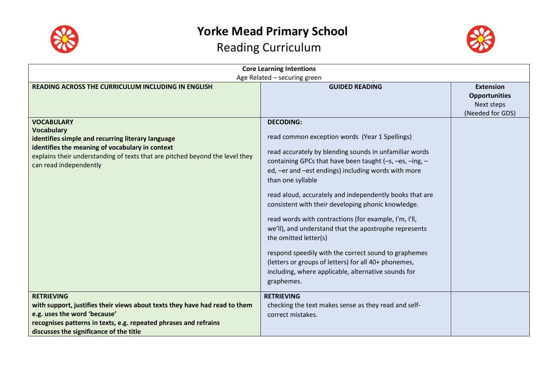



| <b>Core Learning Intentions</b><br>Age Related - securing green                                                                                                                                                                                          |                                                                                                                                                                                                                                                                                                                                                                                                                                                                                                                                                                                                                                                                                                                      |                                                                            |
|----------------------------------------------------------------------------------------------------------------------------------------------------------------------------------------------------------------------------------------------------------|----------------------------------------------------------------------------------------------------------------------------------------------------------------------------------------------------------------------------------------------------------------------------------------------------------------------------------------------------------------------------------------------------------------------------------------------------------------------------------------------------------------------------------------------------------------------------------------------------------------------------------------------------------------------------------------------------------------------|----------------------------------------------------------------------------|
| <b>READING ACROSS THE CURRICULUM INCLUDING IN ENGLISH</b>                                                                                                                                                                                                | <b>GUIDED READING</b>                                                                                                                                                                                                                                                                                                                                                                                                                                                                                                                                                                                                                                                                                                | <b>Extension</b><br><b>Opportunities</b><br>Next steps<br>(Needed for GDS) |
| <b>VOCABULARY</b><br><b>Vocabulary</b><br>identifies simple and recurring literary language<br>identifies the meaning of vocabulary in context<br>explains their understanding of texts that are pitched beyond the level they<br>can read independently | <b>DECODING:</b><br>read common exception words (Year 1 Spellings)<br>read accurately by blending sounds in unfamiliar words<br>containing GPCs that have been taught (-s, -es, -ing, -<br>ed, -er and -est endings) including words with more<br>than one syllable<br>read aloud, accurately and independently books that are<br>consistent with their developing phonic knowledge.<br>read words with contractions (for example, I'm, I'll,<br>we'll), and understand that the apostrophe represents<br>the omitted letter(s)<br>respond speedily with the correct sound to graphemes<br>(letters or groups of letters) for all 40+ phonemes,<br>including, where applicable, alternative sounds for<br>graphemes. |                                                                            |
| <b>RETRIEVING</b><br>with support, justifies their views about texts they have had read to them<br>e.g. uses the word 'because'<br>recognises patterns in texts, e.g. repeated phrases and refrains<br>discusses the significance of the title           | <b>RETRIEVING</b><br>checking the text makes sense as they read and self-<br>correct mistakes.                                                                                                                                                                                                                                                                                                                                                                                                                                                                                                                                                                                                                       |                                                                            |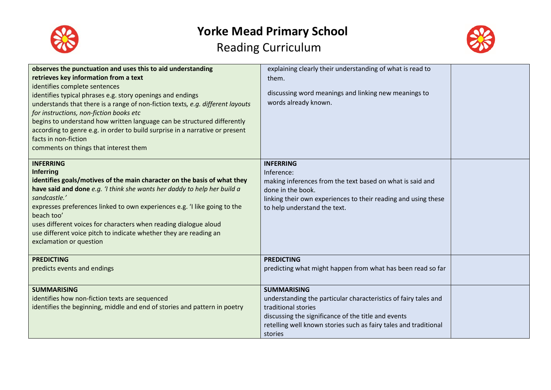



| observes the punctuation and uses this to aid understanding                    | explaining clearly their understanding of what is read to        |  |
|--------------------------------------------------------------------------------|------------------------------------------------------------------|--|
| retrieves key information from a text                                          | them.                                                            |  |
| identifies complete sentences                                                  |                                                                  |  |
| identifies typical phrases e.g. story openings and endings                     | discussing word meanings and linking new meanings to             |  |
| understands that there is a range of non-fiction texts, e.g. different layouts | words already known.                                             |  |
| for instructions, non-fiction books etc                                        |                                                                  |  |
| begins to understand how written language can be structured differently        |                                                                  |  |
| according to genre e.g. in order to build surprise in a narrative or present   |                                                                  |  |
| facts in non-fiction                                                           |                                                                  |  |
| comments on things that interest them                                          |                                                                  |  |
|                                                                                |                                                                  |  |
| <b>INFERRING</b>                                                               | <b>INFERRING</b>                                                 |  |
| Inferring                                                                      | Inference:                                                       |  |
| identifies goals/motives of the main character on the basis of what they       | making inferences from the text based on what is said and        |  |
| have said and done e.g. 'I think she wants her daddy to help her build a       | done in the book.                                                |  |
| sandcastle.'                                                                   | linking their own experiences to their reading and using these   |  |
| expresses preferences linked to own experiences e.g. 'I like going to the      | to help understand the text.                                     |  |
| beach too'                                                                     |                                                                  |  |
| uses different voices for characters when reading dialogue aloud               |                                                                  |  |
| use different voice pitch to indicate whether they are reading an              |                                                                  |  |
| exclamation or question                                                        |                                                                  |  |
|                                                                                |                                                                  |  |
| <b>PREDICTING</b>                                                              | <b>PREDICTING</b>                                                |  |
| predicts events and endings                                                    | predicting what might happen from what has been read so far      |  |
|                                                                                |                                                                  |  |
| <b>SUMMARISING</b>                                                             | <b>SUMMARISING</b>                                               |  |
| identifies how non-fiction texts are sequenced                                 | understanding the particular characteristics of fairy tales and  |  |
| identifies the beginning, middle and end of stories and pattern in poetry      | traditional stories                                              |  |
|                                                                                | discussing the significance of the title and events              |  |
|                                                                                | retelling well known stories such as fairy tales and traditional |  |
|                                                                                | stories                                                          |  |
|                                                                                |                                                                  |  |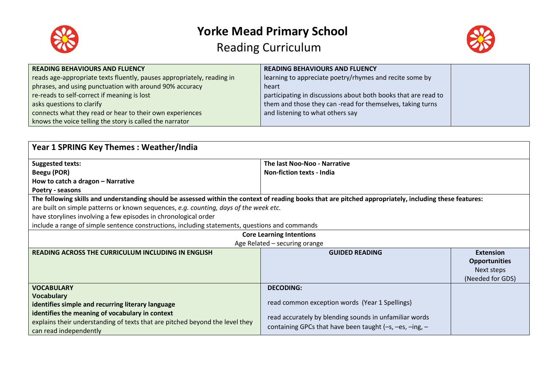



| <b>READING BEHAVIOURS AND FLUENCY</b>                                  | <b>READING BEHAVIOURS AND FLUENCY</b>                          |  |
|------------------------------------------------------------------------|----------------------------------------------------------------|--|
| reads age-appropriate texts fluently, pauses appropriately, reading in | learning to appreciate poetry/rhymes and recite some by        |  |
| phrases, and using punctuation with around 90% accuracy                | heart                                                          |  |
| re-reads to self-correct if meaning is lost                            | participating in discussions about both books that are read to |  |
| asks questions to clarify                                              | them and those they can-read for themselves, taking turns      |  |
| connects what they read or hear to their own experiences               | and listening to what others say                               |  |
| knows the voice telling the story is called the narrator               |                                                                |  |

| <b>Year 1 SPRING Key Themes: Weather/India</b>                                                                                                          |                                                           |                      |
|---------------------------------------------------------------------------------------------------------------------------------------------------------|-----------------------------------------------------------|----------------------|
| <b>Suggested texts:</b>                                                                                                                                 | The last Noo-Noo - Narrative                              |                      |
| Beegu (POR)                                                                                                                                             | <b>Non-fiction texts - India</b>                          |                      |
| How to catch a dragon - Narrative                                                                                                                       |                                                           |                      |
| Poetry - seasons                                                                                                                                        |                                                           |                      |
| The following skills and understanding should be assessed within the context of reading books that are pitched appropriately, including these features: |                                                           |                      |
| are built on simple patterns or known sequences, e.g. counting, days of the week etc.                                                                   |                                                           |                      |
| have storylines involving a few episodes in chronological order                                                                                         |                                                           |                      |
| include a range of simple sentence constructions, including statements, questions and commands                                                          |                                                           |                      |
|                                                                                                                                                         | <b>Core Learning Intentions</b>                           |                      |
|                                                                                                                                                         | Age Related - securing orange                             |                      |
| <b>READING ACROSS THE CURRICULUM INCLUDING IN ENGLISH</b>                                                                                               | <b>GUIDED READING</b>                                     | <b>Extension</b>     |
|                                                                                                                                                         |                                                           | <b>Opportunities</b> |
|                                                                                                                                                         |                                                           | Next steps           |
|                                                                                                                                                         |                                                           | (Needed for GDS)     |
| <b>VOCABULARY</b>                                                                                                                                       | <b>DECODING:</b>                                          |                      |
| <b>Vocabulary</b>                                                                                                                                       |                                                           |                      |
| identifies simple and recurring literary language                                                                                                       | read common exception words (Year 1 Spellings)            |                      |
| identifies the meaning of vocabulary in context                                                                                                         | read accurately by blending sounds in unfamiliar words    |                      |
| explains their understanding of texts that are pitched beyond the level they<br>can read independently                                                  | containing GPCs that have been taught $(-s, -es, -ing, -$ |                      |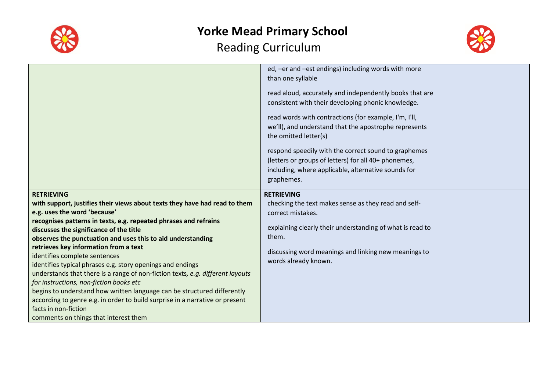



|                                                                                                        | ed, -er and -est endings) including words with more<br>than one syllable                                      |  |
|--------------------------------------------------------------------------------------------------------|---------------------------------------------------------------------------------------------------------------|--|
|                                                                                                        | read aloud, accurately and independently books that are<br>consistent with their developing phonic knowledge. |  |
|                                                                                                        | read words with contractions (for example, I'm, I'll,                                                         |  |
|                                                                                                        | we'll), and understand that the apostrophe represents<br>the omitted letter(s)                                |  |
|                                                                                                        | respond speedily with the correct sound to graphemes                                                          |  |
|                                                                                                        | (letters or groups of letters) for all 40+ phonemes,                                                          |  |
|                                                                                                        | including, where applicable, alternative sounds for                                                           |  |
|                                                                                                        | graphemes.                                                                                                    |  |
| <b>RETRIEVING</b>                                                                                      | <b>RETRIEVING</b>                                                                                             |  |
| with support, justifies their views about texts they have had read to them                             | checking the text makes sense as they read and self-                                                          |  |
| e.g. uses the word 'because'                                                                           | correct mistakes.                                                                                             |  |
| recognises patterns in texts, e.g. repeated phrases and refrains                                       | explaining clearly their understanding of what is read to                                                     |  |
| discusses the significance of the title<br>observes the punctuation and uses this to aid understanding | them.                                                                                                         |  |
| retrieves key information from a text                                                                  |                                                                                                               |  |
|                                                                                                        |                                                                                                               |  |
|                                                                                                        | discussing word meanings and linking new meanings to                                                          |  |
| identifies complete sentences<br>identifies typical phrases e.g. story openings and endings            | words already known.                                                                                          |  |
| understands that there is a range of non-fiction texts, e.g. different layouts                         |                                                                                                               |  |
| for instructions, non-fiction books etc                                                                |                                                                                                               |  |
| begins to understand how written language can be structured differently                                |                                                                                                               |  |
| according to genre e.g. in order to build surprise in a narrative or present                           |                                                                                                               |  |
| facts in non-fiction<br>comments on things that interest them                                          |                                                                                                               |  |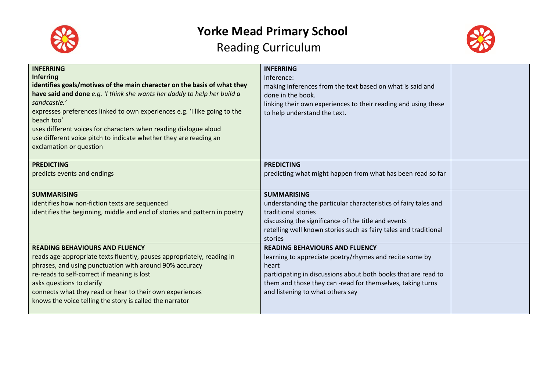

## **Yorke Mead Primary School**

### Reading Curriculum



| <b>INFERRING</b><br><b>Inferring</b><br>identifies goals/motives of the main character on the basis of what they<br>have said and done e.g. 'I think she wants her daddy to help her build a<br>sandcastle.'<br>expresses preferences linked to own experiences e.g. 'I like going to the<br>beach too'<br>uses different voices for characters when reading dialogue aloud<br>use different voice pitch to indicate whether they are reading an<br>exclamation or question | <b>INFERRING</b><br>Inference:<br>making inferences from the text based on what is said and<br>done in the book.<br>linking their own experiences to their reading and using these<br>to help understand the text.                                                           |  |
|-----------------------------------------------------------------------------------------------------------------------------------------------------------------------------------------------------------------------------------------------------------------------------------------------------------------------------------------------------------------------------------------------------------------------------------------------------------------------------|------------------------------------------------------------------------------------------------------------------------------------------------------------------------------------------------------------------------------------------------------------------------------|--|
| <b>PREDICTING</b><br>predicts events and endings                                                                                                                                                                                                                                                                                                                                                                                                                            | <b>PREDICTING</b><br>predicting what might happen from what has been read so far                                                                                                                                                                                             |  |
| <b>SUMMARISING</b><br>identifies how non-fiction texts are sequenced<br>identifies the beginning, middle and end of stories and pattern in poetry                                                                                                                                                                                                                                                                                                                           | <b>SUMMARISING</b><br>understanding the particular characteristics of fairy tales and<br>traditional stories<br>discussing the significance of the title and events<br>retelling well known stories such as fairy tales and traditional<br>stories                           |  |
| <b>READING BEHAVIOURS AND FLUENCY</b><br>reads age-appropriate texts fluently, pauses appropriately, reading in<br>phrases, and using punctuation with around 90% accuracy<br>re-reads to self-correct if meaning is lost<br>asks questions to clarify<br>connects what they read or hear to their own experiences<br>knows the voice telling the story is called the narrator                                                                                              | <b>READING BEHAVIOURS AND FLUENCY</b><br>learning to appreciate poetry/rhymes and recite some by<br>heart<br>participating in discussions about both books that are read to<br>them and those they can-read for themselves, taking turns<br>and listening to what others say |  |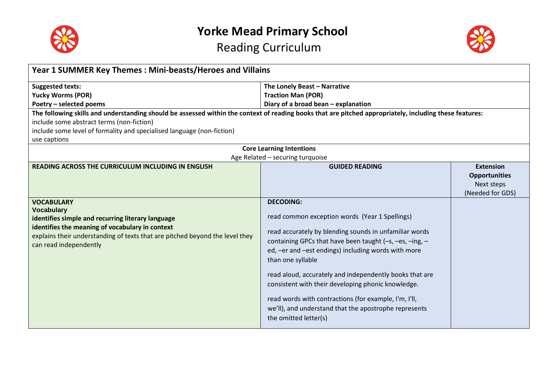



| Year 1 SUMMER Key Themes: Mini-beasts/Heroes and Villains                                                                                               |                                                         |                      |
|---------------------------------------------------------------------------------------------------------------------------------------------------------|---------------------------------------------------------|----------------------|
| <b>Suggested texts:</b>                                                                                                                                 | The Lonely Beast - Narrative                            |                      |
| <b>Yucky Worms (POR)</b>                                                                                                                                | <b>Traction Man (POR)</b>                               |                      |
| Poetry - selected poems                                                                                                                                 | Diary of a broad bean - explanation                     |                      |
| The following skills and understanding should be assessed within the context of reading books that are pitched appropriately, including these features: |                                                         |                      |
| include some abstract terms (non-fiction)                                                                                                               |                                                         |                      |
| include some level of formality and specialised language (non-fiction)                                                                                  |                                                         |                      |
| use captions                                                                                                                                            |                                                         |                      |
|                                                                                                                                                         | <b>Core Learning Intentions</b>                         |                      |
|                                                                                                                                                         | Age Related - securing turquoise                        |                      |
| READING ACROSS THE CURRICULUM INCLUDING IN ENGLISH                                                                                                      | <b>GUIDED READING</b>                                   | <b>Extension</b>     |
|                                                                                                                                                         |                                                         | <b>Opportunities</b> |
|                                                                                                                                                         |                                                         | Next steps           |
|                                                                                                                                                         |                                                         | (Needed for GDS)     |
| <b>VOCABULARY</b><br><b>Vocabulary</b>                                                                                                                  | <b>DECODING:</b>                                        |                      |
| identifies simple and recurring literary language                                                                                                       | read common exception words (Year 1 Spellings)          |                      |
| identifies the meaning of vocabulary in context                                                                                                         |                                                         |                      |
| explains their understanding of texts that are pitched beyond the level they                                                                            | read accurately by blending sounds in unfamiliar words  |                      |
| can read independently                                                                                                                                  | containing GPCs that have been taught (-s, -es, -ing, - |                      |
|                                                                                                                                                         | ed, -er and -est endings) including words with more     |                      |
|                                                                                                                                                         | than one syllable                                       |                      |
|                                                                                                                                                         | read aloud, accurately and independently books that are |                      |
|                                                                                                                                                         | consistent with their developing phonic knowledge.      |                      |
|                                                                                                                                                         |                                                         |                      |
|                                                                                                                                                         | read words with contractions (for example, I'm, I'll,   |                      |
|                                                                                                                                                         | we'll), and understand that the apostrophe represents   |                      |
|                                                                                                                                                         | the omitted letter(s)                                   |                      |
|                                                                                                                                                         |                                                         |                      |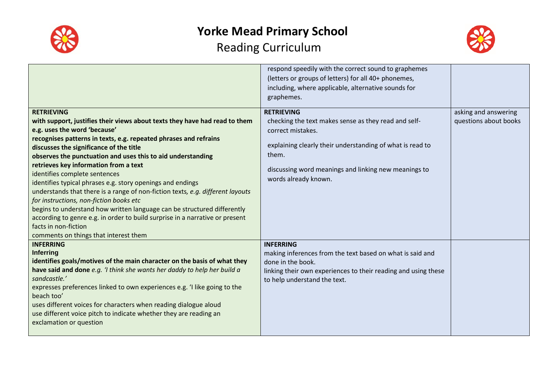



|                                                                                                                                                                                                                                                                                                                                                                                                                                                                                                                                                                                                                                                                                                                                                                                                                | respond speedily with the correct sound to graphemes<br>(letters or groups of letters) for all 40+ phonemes,<br>including, where applicable, alternative sounds for<br>graphemes.                                                                    |                                               |
|----------------------------------------------------------------------------------------------------------------------------------------------------------------------------------------------------------------------------------------------------------------------------------------------------------------------------------------------------------------------------------------------------------------------------------------------------------------------------------------------------------------------------------------------------------------------------------------------------------------------------------------------------------------------------------------------------------------------------------------------------------------------------------------------------------------|------------------------------------------------------------------------------------------------------------------------------------------------------------------------------------------------------------------------------------------------------|-----------------------------------------------|
| <b>RETRIEVING</b><br>with support, justifies their views about texts they have had read to them<br>e.g. uses the word 'because'<br>recognises patterns in texts, e.g. repeated phrases and refrains<br>discusses the significance of the title<br>observes the punctuation and uses this to aid understanding<br>retrieves key information from a text<br>identifies complete sentences<br>identifies typical phrases e.g. story openings and endings<br>understands that there is a range of non-fiction texts, e.g. different layouts<br>for instructions, non-fiction books etc<br>begins to understand how written language can be structured differently<br>according to genre e.g. in order to build surprise in a narrative or present<br>facts in non-fiction<br>comments on things that interest them | <b>RETRIEVING</b><br>checking the text makes sense as they read and self-<br>correct mistakes.<br>explaining clearly their understanding of what is read to<br>them.<br>discussing word meanings and linking new meanings to<br>words already known. | asking and answering<br>questions about books |
| <b>INFERRING</b><br><b>Inferring</b><br>identifies goals/motives of the main character on the basis of what they<br>have said and done e.g. 'I think she wants her daddy to help her build a<br>sandcastle.'<br>expresses preferences linked to own experiences e.g. 'I like going to the<br>beach too'<br>uses different voices for characters when reading dialogue aloud<br>use different voice pitch to indicate whether they are reading an<br>exclamation or question                                                                                                                                                                                                                                                                                                                                    | <b>INFERRING</b><br>making inferences from the text based on what is said and<br>done in the book.<br>linking their own experiences to their reading and using these<br>to help understand the text.                                                 |                                               |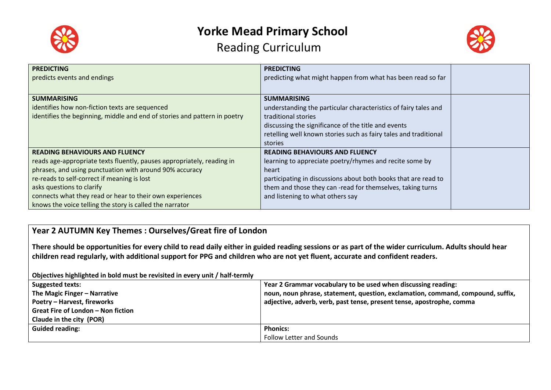



| <b>PREDICTING</b>                                                         | <b>PREDICTING</b>                                                |
|---------------------------------------------------------------------------|------------------------------------------------------------------|
| predicts events and endings                                               | predicting what might happen from what has been read so far      |
|                                                                           |                                                                  |
| <b>SUMMARISING</b>                                                        | <b>SUMMARISING</b>                                               |
| identifies how non-fiction texts are sequenced                            | understanding the particular characteristics of fairy tales and  |
| identifies the beginning, middle and end of stories and pattern in poetry | traditional stories                                              |
|                                                                           | discussing the significance of the title and events              |
|                                                                           | retelling well known stories such as fairy tales and traditional |
|                                                                           | stories                                                          |
| <b>READING BEHAVIOURS AND FLUENCY</b>                                     | <b>READING BEHAVIOURS AND FLUENCY</b>                            |
| reads age-appropriate texts fluently, pauses appropriately, reading in    | learning to appreciate poetry/rhymes and recite some by          |
| phrases, and using punctuation with around 90% accuracy                   | heart                                                            |
| re-reads to self-correct if meaning is lost                               | participating in discussions about both books that are read to   |
| asks questions to clarify                                                 | them and those they can -read for themselves, taking turns       |
| connects what they read or hear to their own experiences                  | and listening to what others say                                 |
| knows the voice telling the story is called the narrator                  |                                                                  |

#### **Year 2 AUTUMN Key Themes : Ourselves/Great fire of London**

**There should be opportunities for every child to read daily either in guided reading sessions or as part of the wider curriculum. Adults should hear children read regularly, with additional support for PPG and children who are not yet fluent, accurate and confident readers.**

**Objectives highlighted in bold must be revisited in every unit / half-termly**

| <b>Suggested texts:</b>            | Year 2 Grammar vocabulary to be used when discussing reading:                   |
|------------------------------------|---------------------------------------------------------------------------------|
| The Magic Finger - Narrative       | noun, noun phrase, statement, question, exclamation, command, compound, suffix, |
| <b>Poetry - Harvest, fireworks</b> | adjective, adverb, verb, past tense, present tense, apostrophe, comma           |
| Great Fire of London - Non fiction |                                                                                 |
| Claude in the city (POR)           |                                                                                 |
| <b>Guided reading:</b>             | <b>Phonics:</b>                                                                 |
|                                    | Follow Letter and Sounds                                                        |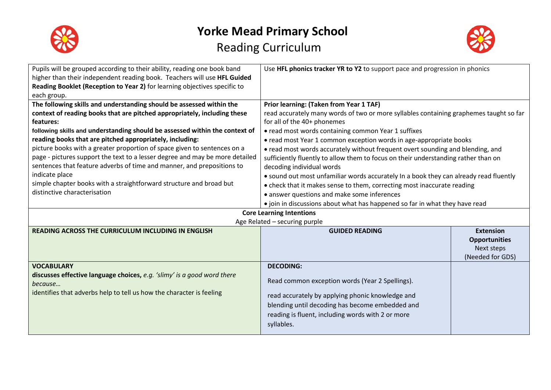



| Pupils will be grouped according to their ability, reading one book band<br>higher than their independent reading book. Teachers will use HFL Guided<br>Reading Booklet (Reception to Year 2) for learning objectives specific to<br>each group.                                                                                                                                                                                                                                                                                                                                                                                                                        | Use HFL phonics tracker YR to Y2 to support pace and progression in phonics                                                                                                                                                                                                                                                                                                                                                                                                                                                                                                                                                                                                                                           |                                                                            |
|-------------------------------------------------------------------------------------------------------------------------------------------------------------------------------------------------------------------------------------------------------------------------------------------------------------------------------------------------------------------------------------------------------------------------------------------------------------------------------------------------------------------------------------------------------------------------------------------------------------------------------------------------------------------------|-----------------------------------------------------------------------------------------------------------------------------------------------------------------------------------------------------------------------------------------------------------------------------------------------------------------------------------------------------------------------------------------------------------------------------------------------------------------------------------------------------------------------------------------------------------------------------------------------------------------------------------------------------------------------------------------------------------------------|----------------------------------------------------------------------------|
| The following skills and understanding should be assessed within the<br>context of reading books that are pitched appropriately, including these<br>features:<br>following skills and understanding should be assessed within the context of<br>reading books that are pitched appropriately, including:<br>picture books with a greater proportion of space given to sentences on a<br>page - pictures support the text to a lesser degree and may be more detailed<br>sentences that feature adverbs of time and manner, and prepositions to<br>indicate place<br>simple chapter books with a straightforward structure and broad but<br>distinctive characterisation | Prior learning: (Taken from Year 1 TAF)<br>read accurately many words of two or more syllables containing graphemes taught so far<br>for all of the 40+ phonemes<br>• read most words containing common Year 1 suffixes<br>• read most Year 1 common exception words in age-appropriate books<br>• read most words accurately without frequent overt sounding and blending, and<br>sufficiently fluently to allow them to focus on their understanding rather than on<br>decoding individual words<br>• sound out most unfamiliar words accurately In a book they can already read fluently<br>• check that it makes sense to them, correcting most inaccurate reading<br>• answer questions and make some inferences |                                                                            |
|                                                                                                                                                                                                                                                                                                                                                                                                                                                                                                                                                                                                                                                                         | • join in discussions about what has happened so far in what they have read<br><b>Core Learning Intentions</b>                                                                                                                                                                                                                                                                                                                                                                                                                                                                                                                                                                                                        |                                                                            |
|                                                                                                                                                                                                                                                                                                                                                                                                                                                                                                                                                                                                                                                                         | Age Related - securing purple                                                                                                                                                                                                                                                                                                                                                                                                                                                                                                                                                                                                                                                                                         |                                                                            |
| <b>READING ACROSS THE CURRICULUM INCLUDING IN ENGLISH</b>                                                                                                                                                                                                                                                                                                                                                                                                                                                                                                                                                                                                               | <b>GUIDED READING</b>                                                                                                                                                                                                                                                                                                                                                                                                                                                                                                                                                                                                                                                                                                 | <b>Extension</b><br><b>Opportunities</b><br>Next steps<br>(Needed for GDS) |
| <b>VOCABULARY</b><br>discusses effective language choices, e.g. 'slimy' is a good word there<br>because<br>identifies that adverbs help to tell us how the character is feeling                                                                                                                                                                                                                                                                                                                                                                                                                                                                                         | <b>DECODING:</b><br>Read common exception words (Year 2 Spellings).<br>read accurately by applying phonic knowledge and<br>blending until decoding has become embedded and<br>reading is fluent, including words with 2 or more<br>syllables.                                                                                                                                                                                                                                                                                                                                                                                                                                                                         |                                                                            |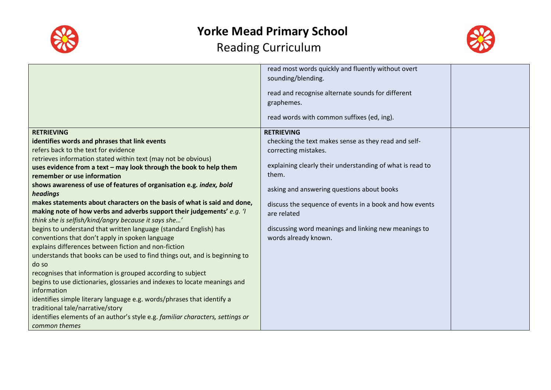



|                                                                                | read most words quickly and fluently without overt        |  |
|--------------------------------------------------------------------------------|-----------------------------------------------------------|--|
|                                                                                | sounding/blending.                                        |  |
|                                                                                | read and recognise alternate sounds for different         |  |
|                                                                                | graphemes.                                                |  |
|                                                                                |                                                           |  |
|                                                                                | read words with common suffixes (ed, ing).                |  |
| <b>RETRIEVING</b>                                                              | <b>RETRIEVING</b>                                         |  |
| identifies words and phrases that link events                                  | checking the text makes sense as they read and self-      |  |
| refers back to the text for evidence                                           | correcting mistakes.                                      |  |
| retrieves information stated within text (may not be obvious)                  |                                                           |  |
| uses evidence from a text - may look through the book to help them             | explaining clearly their understanding of what is read to |  |
| remember or use information                                                    | them.                                                     |  |
| shows awareness of use of features of organisation e.g. index, bold            | asking and answering questions about books                |  |
| headings                                                                       |                                                           |  |
| makes statements about characters on the basis of what is said and done,       | discuss the sequence of events in a book and how events   |  |
| making note of how verbs and adverbs support their judgements' e.g. 'I         | are related                                               |  |
| think she is selfish/kind/angry because it says she'                           |                                                           |  |
| begins to understand that written language (standard English) has              | discussing word meanings and linking new meanings to      |  |
| conventions that don't apply in spoken language                                | words already known.                                      |  |
| explains differences between fiction and non-fiction                           |                                                           |  |
| understands that books can be used to find things out, and is beginning to     |                                                           |  |
| do so                                                                          |                                                           |  |
| recognises that information is grouped according to subject                    |                                                           |  |
| begins to use dictionaries, glossaries and indexes to locate meanings and      |                                                           |  |
| information                                                                    |                                                           |  |
| identifies simple literary language e.g. words/phrases that identify a         |                                                           |  |
| traditional tale/narrative/story                                               |                                                           |  |
| identifies elements of an author's style e.g. familiar characters, settings or |                                                           |  |
| common themes                                                                  |                                                           |  |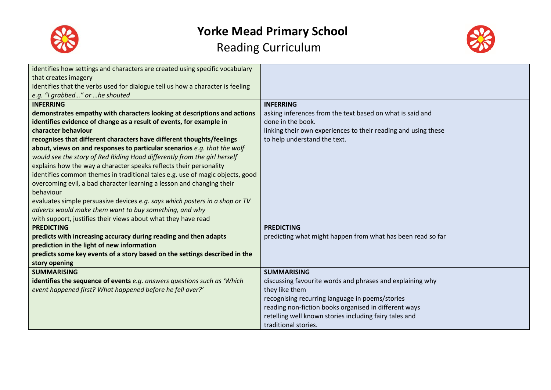



| identifies how settings and characters are created using specific vocabulary   |                                                                |  |
|--------------------------------------------------------------------------------|----------------------------------------------------------------|--|
| that creates imagery                                                           |                                                                |  |
| identifies that the verbs used for dialogue tell us how a character is feeling |                                                                |  |
| e.g. "I grabbed" or  he shouted                                                |                                                                |  |
| <b>INFERRING</b>                                                               | <b>INFERRING</b>                                               |  |
| demonstrates empathy with characters looking at descriptions and actions       | asking inferences from the text based on what is said and      |  |
| identifies evidence of change as a result of events, for example in            | done in the book.                                              |  |
| character behaviour                                                            | linking their own experiences to their reading and using these |  |
| recognises that different characters have different thoughts/feelings          | to help understand the text.                                   |  |
| about, views on and responses to particular scenarios e.g. that the wolf       |                                                                |  |
| would see the story of Red Riding Hood differently from the girl herself       |                                                                |  |
| explains how the way a character speaks reflects their personality             |                                                                |  |
| identifies common themes in traditional tales e.g. use of magic objects, good  |                                                                |  |
| overcoming evil, a bad character learning a lesson and changing their          |                                                                |  |
| behaviour                                                                      |                                                                |  |
| evaluates simple persuasive devices e.g. says which posters in a shop or TV    |                                                                |  |
| adverts would make them want to buy something, and why                         |                                                                |  |
| with support, justifies their views about what they have read                  |                                                                |  |
| <b>PREDICTING</b>                                                              | <b>PREDICTING</b>                                              |  |
| predicts with increasing accuracy during reading and then adapts               | predicting what might happen from what has been read so far    |  |
| prediction in the light of new information                                     |                                                                |  |
| predicts some key events of a story based on the settings described in the     |                                                                |  |
| story opening                                                                  |                                                                |  |
| <b>SUMMARISING</b>                                                             | <b>SUMMARISING</b>                                             |  |
| identifies the sequence of events e.g. answers questions such as 'Which        | discussing favourite words and phrases and explaining why      |  |
| event happened first? What happened before he fell over?'                      | they like them                                                 |  |
|                                                                                | recognising recurring language in poems/stories                |  |
|                                                                                | reading non-fiction books organised in different ways          |  |
|                                                                                | retelling well known stories including fairy tales and         |  |
|                                                                                | traditional stories.                                           |  |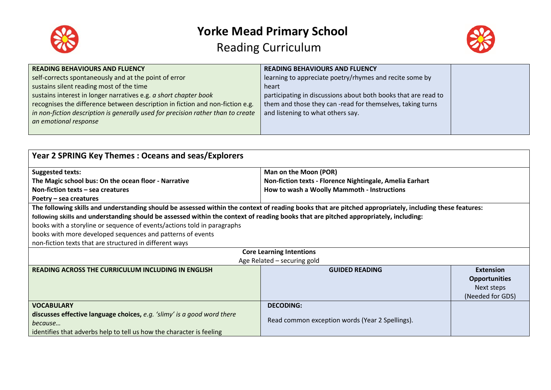



| <b>READING BEHAVIOURS AND FLUENCY</b>                                            | <b>READING BEHAVIOURS AND FLUENCY</b>                          |  |
|----------------------------------------------------------------------------------|----------------------------------------------------------------|--|
| self-corrects spontaneously and at the point of error                            | learning to appreciate poetry/rhymes and recite some by        |  |
| sustains silent reading most of the time                                         | heart                                                          |  |
| sustains interest in longer narratives e.g. a short chapter book                 | participating in discussions about both books that are read to |  |
| recognises the difference between description in fiction and non-fiction e.g.    | them and those they can -read for themselves, taking turns     |  |
| in non-fiction description is generally used for precision rather than to create | and listening to what others say.                              |  |
| an emotional response                                                            |                                                                |  |
|                                                                                  |                                                                |  |

| Year 2 SPRING Key Themes: Oceans and seas/Explorers                                                                                                     |                                                          |                      |
|---------------------------------------------------------------------------------------------------------------------------------------------------------|----------------------------------------------------------|----------------------|
| <b>Suggested texts:</b>                                                                                                                                 | Man on the Moon (POR)                                    |                      |
| The Magic school bus: On the ocean floor - Narrative                                                                                                    | Non-fiction texts - Florence Nightingale, Amelia Earhart |                      |
| Non-fiction texts $-$ sea creatures                                                                                                                     | How to wash a Woolly Mammoth - Instructions              |                      |
| Poetry – sea creatures                                                                                                                                  |                                                          |                      |
| The following skills and understanding should be assessed within the context of reading books that are pitched appropriately, including these features: |                                                          |                      |
| following skills and understanding should be assessed within the context of reading books that are pitched appropriately, including:                    |                                                          |                      |
| books with a storyline or sequence of events/actions told in paragraphs                                                                                 |                                                          |                      |
| books with more developed sequences and patterns of events                                                                                              |                                                          |                      |
| non-fiction texts that are structured in different ways                                                                                                 |                                                          |                      |
| <b>Core Learning Intentions</b>                                                                                                                         |                                                          |                      |
|                                                                                                                                                         | Age Related - securing gold                              |                      |
| <b>READING ACROSS THE CURRICULUM INCLUDING IN ENGLISH</b>                                                                                               | <b>GUIDED READING</b>                                    | <b>Extension</b>     |
|                                                                                                                                                         |                                                          | <b>Opportunities</b> |
|                                                                                                                                                         |                                                          | Next steps           |
|                                                                                                                                                         |                                                          | (Needed for GDS)     |
| <b>VOCABULARY</b>                                                                                                                                       | <b>DECODING:</b>                                         |                      |
| discusses effective language choices, e.g. 'slimy' is a good word there                                                                                 |                                                          |                      |
| because                                                                                                                                                 | Read common exception words (Year 2 Spellings).          |                      |
| identifies that adverbs help to tell us how the character is feeling                                                                                    |                                                          |                      |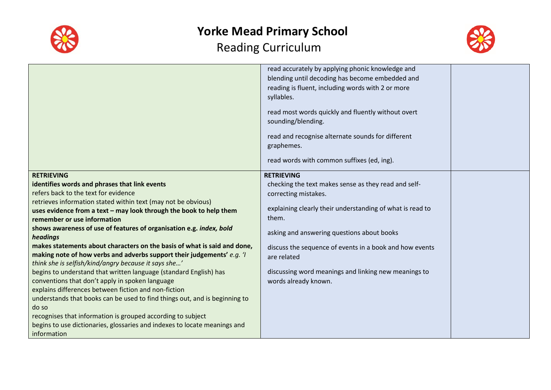



|                                                                                                                                                                                                                                                                                                                                                                                                                                                                                                                                                                                                                                                                                                                                                                                                                                                                                                                                                                                                                     | read accurately by applying phonic knowledge and<br>blending until decoding has become embedded and<br>reading is fluent, including words with 2 or more<br>syllables.<br>read most words quickly and fluently without overt<br>sounding/blending.<br>read and recognise alternate sounds for different<br>graphemes.<br>read words with common suffixes (ed, ing).             |  |
|---------------------------------------------------------------------------------------------------------------------------------------------------------------------------------------------------------------------------------------------------------------------------------------------------------------------------------------------------------------------------------------------------------------------------------------------------------------------------------------------------------------------------------------------------------------------------------------------------------------------------------------------------------------------------------------------------------------------------------------------------------------------------------------------------------------------------------------------------------------------------------------------------------------------------------------------------------------------------------------------------------------------|---------------------------------------------------------------------------------------------------------------------------------------------------------------------------------------------------------------------------------------------------------------------------------------------------------------------------------------------------------------------------------|--|
| <b>RETRIEVING</b><br>identifies words and phrases that link events<br>refers back to the text for evidence<br>retrieves information stated within text (may not be obvious)<br>uses evidence from a text - may look through the book to help them<br>remember or use information<br>shows awareness of use of features of organisation e.g. index, bold<br>headings<br>makes statements about characters on the basis of what is said and done,<br>making note of how verbs and adverbs support their judgements' e.g. 'I<br>think she is selfish/kind/angry because it says she'<br>begins to understand that written language (standard English) has<br>conventions that don't apply in spoken language<br>explains differences between fiction and non-fiction<br>understands that books can be used to find things out, and is beginning to<br>do so<br>recognises that information is grouped according to subject<br>begins to use dictionaries, glossaries and indexes to locate meanings and<br>information | <b>RETRIEVING</b><br>checking the text makes sense as they read and self-<br>correcting mistakes.<br>explaining clearly their understanding of what is read to<br>them.<br>asking and answering questions about books<br>discuss the sequence of events in a book and how events<br>are related<br>discussing word meanings and linking new meanings to<br>words already known. |  |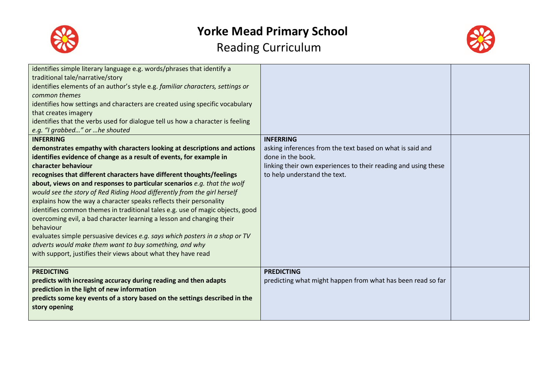



| identifies simple literary language e.g. words/phrases that identify a<br>traditional tale/narrative/story<br>identifies elements of an author's style e.g. familiar characters, settings or<br>common themes<br>identifies how settings and characters are created using specific vocabulary<br>that creates imagery<br>identifies that the verbs used for dialogue tell us how a character is feeling<br>e.g. "I grabbed" or he shouted<br><b>INFERRING</b><br>demonstrates empathy with characters looking at descriptions and actions<br>identifies evidence of change as a result of events, for example in<br>character behaviour<br>recognises that different characters have different thoughts/feelings<br>about, views on and responses to particular scenarios e.g. that the wolf<br>would see the story of Red Riding Hood differently from the girl herself<br>explains how the way a character speaks reflects their personality<br>identifies common themes in traditional tales e.g. use of magic objects, good<br>overcoming evil, a bad character learning a lesson and changing their<br>behaviour<br>evaluates simple persuasive devices e.g. says which posters in a shop or TV<br>adverts would make them want to buy something, and why<br>with support, justifies their views about what they have read | <b>INFERRING</b><br>asking inferences from the text based on what is said and<br>done in the book.<br>linking their own experiences to their reading and using these<br>to help understand the text. |  |
|---------------------------------------------------------------------------------------------------------------------------------------------------------------------------------------------------------------------------------------------------------------------------------------------------------------------------------------------------------------------------------------------------------------------------------------------------------------------------------------------------------------------------------------------------------------------------------------------------------------------------------------------------------------------------------------------------------------------------------------------------------------------------------------------------------------------------------------------------------------------------------------------------------------------------------------------------------------------------------------------------------------------------------------------------------------------------------------------------------------------------------------------------------------------------------------------------------------------------------------------------------------------------------------------------------------------------------|------------------------------------------------------------------------------------------------------------------------------------------------------------------------------------------------------|--|
| <b>PREDICTING</b><br>predicts with increasing accuracy during reading and then adapts<br>prediction in the light of new information<br>predicts some key events of a story based on the settings described in the<br>story opening                                                                                                                                                                                                                                                                                                                                                                                                                                                                                                                                                                                                                                                                                                                                                                                                                                                                                                                                                                                                                                                                                              | <b>PREDICTING</b><br>predicting what might happen from what has been read so far                                                                                                                     |  |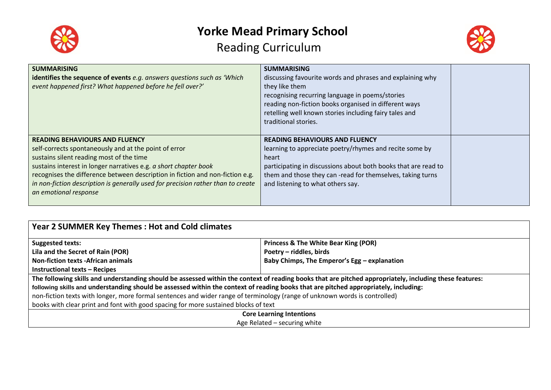

# **Yorke Mead Primary School**

### Reading Curriculum



| <b>SUMMARISING</b><br>identifies the sequence of events e.g. answers questions such as 'Which<br>event happened first? What happened before he fell over?'                                                                                                                                                                                                                                                   | <b>SUMMARISING</b><br>discussing favourite words and phrases and explaining why<br>they like them<br>recognising recurring language in poems/stories<br>reading non-fiction books organised in different ways<br>retelling well known stories including fairy tales and<br>traditional stories. |  |
|--------------------------------------------------------------------------------------------------------------------------------------------------------------------------------------------------------------------------------------------------------------------------------------------------------------------------------------------------------------------------------------------------------------|-------------------------------------------------------------------------------------------------------------------------------------------------------------------------------------------------------------------------------------------------------------------------------------------------|--|
| <b>READING BEHAVIOURS AND FLUENCY</b><br>self-corrects spontaneously and at the point of error<br>sustains silent reading most of the time<br>sustains interest in longer narratives e.g. a short chapter book<br>recognises the difference between description in fiction and non-fiction e.g.<br>in non-fiction description is generally used for precision rather than to create<br>an emotional response | <b>READING BEHAVIOURS AND FLUENCY</b><br>learning to appreciate poetry/rhymes and recite some by<br>heart<br>participating in discussions about both books that are read to<br>them and those they can -read for themselves, taking turns<br>and listening to what others say.                  |  |

| <b>Year 2 SUMMER Key Themes: Hot and Cold climates</b>                                                                                                  |                                                 |  |
|---------------------------------------------------------------------------------------------------------------------------------------------------------|-------------------------------------------------|--|
| <b>Suggested texts:</b>                                                                                                                                 | <b>Princess &amp; The White Bear King (POR)</b> |  |
| Lila and the Secret of Rain (POR)                                                                                                                       | Poetry - riddles, birds                         |  |
| <b>Non-fiction texts -African animals</b>                                                                                                               | Baby Chimps, The Emperor's Egg - explanation    |  |
| <b>Instructional texts - Recipes</b>                                                                                                                    |                                                 |  |
| The following skills and understanding should be assessed within the context of reading books that are pitched appropriately, including these features: |                                                 |  |
| following skills and understanding should be assessed within the context of reading books that are pitched appropriately, including:                    |                                                 |  |
| non-fiction texts with longer, more formal sentences and wider range of terminology (range of unknown words is controlled)                              |                                                 |  |
| books with clear print and font with good spacing for more sustained blocks of text                                                                     |                                                 |  |
| <b>Core Learning Intentions</b>                                                                                                                         |                                                 |  |
| Age Related - securing white                                                                                                                            |                                                 |  |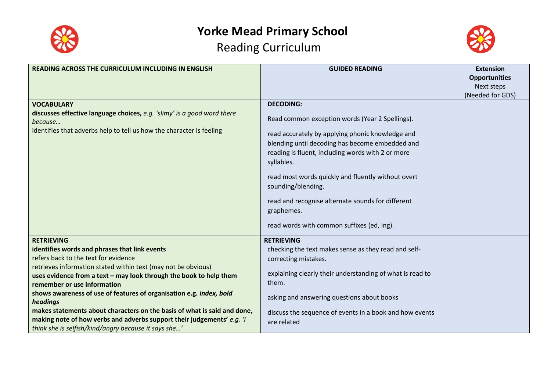



| <b>READING ACROSS THE CURRICULUM INCLUDING IN ENGLISH</b>                                                                                                                       | <b>GUIDED READING</b>                                                                                                                                                                                                                                                                                                                                                                        | <b>Extension</b>     |
|---------------------------------------------------------------------------------------------------------------------------------------------------------------------------------|----------------------------------------------------------------------------------------------------------------------------------------------------------------------------------------------------------------------------------------------------------------------------------------------------------------------------------------------------------------------------------------------|----------------------|
|                                                                                                                                                                                 |                                                                                                                                                                                                                                                                                                                                                                                              | <b>Opportunities</b> |
|                                                                                                                                                                                 |                                                                                                                                                                                                                                                                                                                                                                                              | Next steps           |
|                                                                                                                                                                                 |                                                                                                                                                                                                                                                                                                                                                                                              | (Needed for GDS)     |
| <b>VOCABULARY</b><br>discusses effective language choices, e.g. 'slimy' is a good word there<br>because<br>identifies that adverbs help to tell us how the character is feeling | <b>DECODING:</b><br>Read common exception words (Year 2 Spellings).<br>read accurately by applying phonic knowledge and<br>blending until decoding has become embedded and<br>reading is fluent, including words with 2 or more<br>syllables.<br>read most words quickly and fluently without overt<br>sounding/blending.<br>read and recognise alternate sounds for different<br>graphemes. |                      |
|                                                                                                                                                                                 | read words with common suffixes (ed, ing).                                                                                                                                                                                                                                                                                                                                                   |                      |
| <b>RETRIEVING</b>                                                                                                                                                               | <b>RETRIEVING</b>                                                                                                                                                                                                                                                                                                                                                                            |                      |
| identifies words and phrases that link events                                                                                                                                   | checking the text makes sense as they read and self-                                                                                                                                                                                                                                                                                                                                         |                      |
| refers back to the text for evidence                                                                                                                                            | correcting mistakes.                                                                                                                                                                                                                                                                                                                                                                         |                      |
| retrieves information stated within text (may not be obvious)                                                                                                                   |                                                                                                                                                                                                                                                                                                                                                                                              |                      |
| uses evidence from a text - may look through the book to help them                                                                                                              | explaining clearly their understanding of what is read to                                                                                                                                                                                                                                                                                                                                    |                      |
| remember or use information                                                                                                                                                     | them.                                                                                                                                                                                                                                                                                                                                                                                        |                      |
| shows awareness of use of features of organisation e.g. index, bold<br>headings                                                                                                 | asking and answering questions about books                                                                                                                                                                                                                                                                                                                                                   |                      |
| makes statements about characters on the basis of what is said and done,                                                                                                        | discuss the sequence of events in a book and how events                                                                                                                                                                                                                                                                                                                                      |                      |
| making note of how verbs and adverbs support their judgements' e.g. 'I                                                                                                          | are related                                                                                                                                                                                                                                                                                                                                                                                  |                      |
| think she is selfish/kind/angry because it says she'                                                                                                                            |                                                                                                                                                                                                                                                                                                                                                                                              |                      |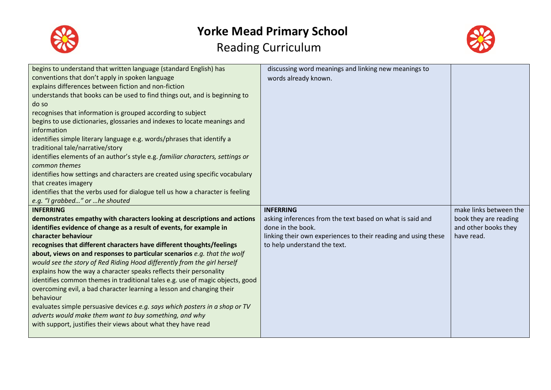



| begins to understand that written language (standard English) has              | discussing word meanings and linking new meanings to           |                        |
|--------------------------------------------------------------------------------|----------------------------------------------------------------|------------------------|
| conventions that don't apply in spoken language                                | words already known.                                           |                        |
| explains differences between fiction and non-fiction                           |                                                                |                        |
| understands that books can be used to find things out, and is beginning to     |                                                                |                        |
| do so                                                                          |                                                                |                        |
| recognises that information is grouped according to subject                    |                                                                |                        |
| begins to use dictionaries, glossaries and indexes to locate meanings and      |                                                                |                        |
| information                                                                    |                                                                |                        |
| identifies simple literary language e.g. words/phrases that identify a         |                                                                |                        |
| traditional tale/narrative/story                                               |                                                                |                        |
| identifies elements of an author's style e.g. familiar characters, settings or |                                                                |                        |
| common themes                                                                  |                                                                |                        |
| identifies how settings and characters are created using specific vocabulary   |                                                                |                        |
| that creates imagery                                                           |                                                                |                        |
| identifies that the verbs used for dialogue tell us how a character is feeling |                                                                |                        |
| e.g. "I grabbed" or he shouted                                                 |                                                                |                        |
| <b>INFERRING</b>                                                               | <b>INFERRING</b>                                               | make links between the |
| demonstrates empathy with characters looking at descriptions and actions       | asking inferences from the text based on what is said and      | book they are reading  |
| identifies evidence of change as a result of events, for example in            | done in the book.                                              | and other books they   |
| character behaviour                                                            | linking their own experiences to their reading and using these | have read.             |
| recognises that different characters have different thoughts/feelings          | to help understand the text.                                   |                        |
| about, views on and responses to particular scenarios e.g. that the wolf       |                                                                |                        |
| would see the story of Red Riding Hood differently from the girl herself       |                                                                |                        |
| explains how the way a character speaks reflects their personality             |                                                                |                        |
| identifies common themes in traditional tales e.g. use of magic objects, good  |                                                                |                        |
| overcoming evil, a bad character learning a lesson and changing their          |                                                                |                        |
| behaviour                                                                      |                                                                |                        |
| evaluates simple persuasive devices e.g. says which posters in a shop or TV    |                                                                |                        |
| adverts would make them want to buy something, and why                         |                                                                |                        |
| with support, justifies their views about what they have read                  |                                                                |                        |
|                                                                                |                                                                |                        |